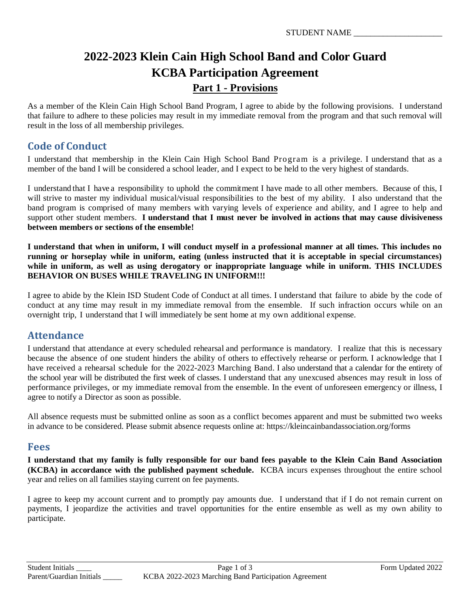## **2022-2023 Klein Cain High School Band and Color Guard KCBA Participation Agreement Part 1 - Provisions**

As a member of the Klein Cain High School Band Program, I agree to abide by the following provisions. I understand that failure to adhere to these policies may result in my immediate removal from the program and that such removal will result in the loss of all membership privileges.

## **Code of Conduct**

I understand that membership in the Klein Cain High School Band Program is a privilege. I understand that as a member of the band I will be considered a school leader, and I expect to be held to the very highest of standards.

I understand that I have a responsibility to uphold the commitment I have made to all other members. Because of this, I will strive to master my individual musical/visual responsibilities to the best of my ability. I also understand that the band program is comprised of many members with varying levels of experience and ability, and I agree to help and support other student members. **I understand that I must never be involved in actions that may cause divisiveness between members or sections of the ensemble!**

**I understand that when in uniform, I will conduct myself in a professional manner at all times. This includes no running or horseplay while in uniform, eating (unless instructed that it is acceptable in special circumstances) while in uniform, as well as using derogatory or inappropriate language while in uniform. THIS INCLUDES BEHAVIOR ON BUSES WHILE TRAVELING IN UNIFORM!!!**

I agree to abide by the Klein ISD Student Code of Conduct at all times. I understand that failure to abide by the code of conduct at any time may result in my immediate removal from the ensemble. If such infraction occurs while on an overnight trip, I understand that I will immediately be sent home at my own additional expense.

## **Attendance**

I understand that attendance at every scheduled rehearsal and performance is mandatory. I realize that this is necessary because the absence of one student hinders the ability of others to effectively rehearse or perform. I acknowledge that I have received a rehearsal schedule for the 2022-2023 Marching Band. I also understand that a calendar for the entirety of the school year will be distributed the first week of classes. I understand that any unexcused absences may result in loss of performance privileges, or my immediate removal from the ensemble. In the event of unforeseen emergency or illness, I agree to notify a Director as soon as possible.

All absence requests must be submitted online as soon as a conflict becomes apparent and must be submitted two weeks in advance to be considered. Please submit absence requests online at: https://kleincainbandassociation.org/forms

#### **Fees**

**I understand that my family is fully responsible for our band fees payable to the Klein Cain Band Association (KCBA) in accordance with the published payment schedule.** KCBA incurs expenses throughout the entire school year and relies on all families staying current on fee payments.

I agree to keep my account current and to promptly pay amounts due. I understand that if I do not remain current on payments, I jeopardize the activities and travel opportunities for the entire ensemble as well as my own ability to participate.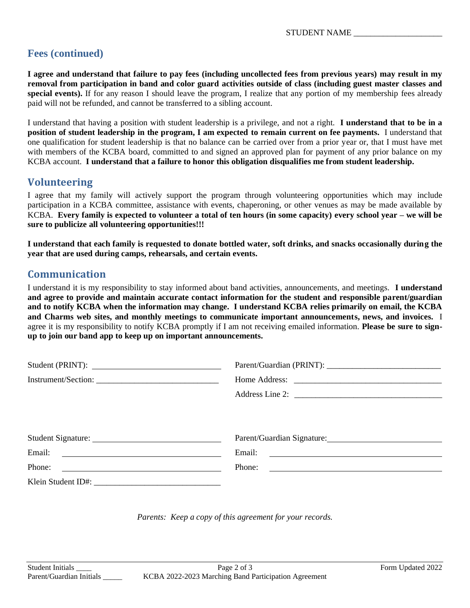## **Fees (continued)**

**I agree and understand that failure to pay fees (including uncollected fees from previous years) may result in my removal from participation in band and color guard activities outside of class (including guest master classes and special events).** If for any reason I should leave the program, I realize that any portion of my membership fees already paid will not be refunded, and cannot be transferred to a sibling account.

I understand that having a position with student leadership is a privilege, and not a right. **I understand that to be in a position of student leadership in the program, I am expected to remain current on fee payments.** I understand that one qualification for student leadership is that no balance can be carried over from a prior year or, that I must have met with members of the KCBA board, committed to and signed an approved plan for payment of any prior balance on my KCBA account. **I understand that a failure to honor this obligation disqualifies me from student leadership.**

#### **Volunteering**

I agree that my family will actively support the program through volunteering opportunities which may include participation in a KCBA committee, assistance with events, chaperoning, or other venues as may be made available by KCBA. **Every family is expected to volunteer a total of ten hours (in some capacity) every school year – we will be sure to publicize all volunteering opportunities!!!**

**I understand that each family is requested to donate bottled water, soft drinks, and snacks occasionally during the year that are used during camps, rehearsals, and certain events.**

#### **Communication**

I understand it is my responsibility to stay informed about band activities, announcements, and meetings. **I understand and agree to provide and maintain accurate contact information for the student and responsible parent/guardian and to notify KCBA when the information may change. I understand KCBA relies primarily on email, the KCBA and Charms web sites, and monthly meetings to communicate important announcements, news, and invoices.** I agree it is my responsibility to notify KCBA promptly if I am not receiving emailed information. **Please be sure to signup to join our band app to keep up on important announcements.**

| Student (PRINT):                                             |                                                                                                                                |
|--------------------------------------------------------------|--------------------------------------------------------------------------------------------------------------------------------|
|                                                              |                                                                                                                                |
|                                                              |                                                                                                                                |
|                                                              |                                                                                                                                |
|                                                              | Parent/Guardian Signature:                                                                                                     |
|                                                              |                                                                                                                                |
| Phone:<br><u> 1989 - Johann Barn, amerikansk politiker (</u> | Phone:<br><u> 1989 - Andrea State Barbara, amerikan personal di sebagai personal di sebagai personal di sebagai personal d</u> |
|                                                              |                                                                                                                                |

*Parents: Keep a copy of this agreement for your records.*